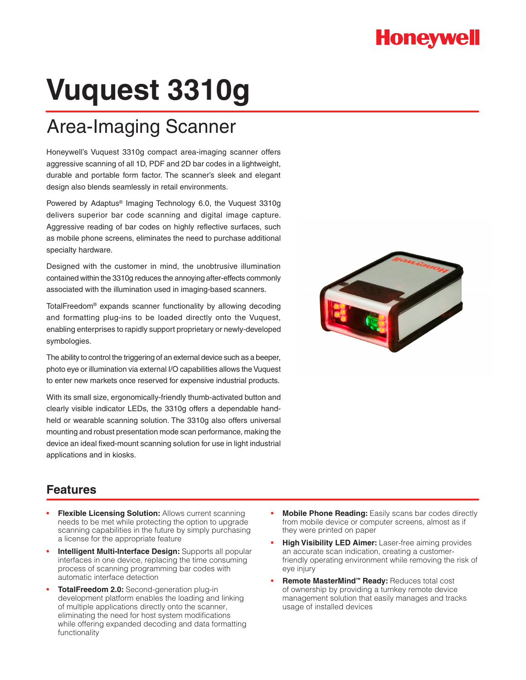## **Honeywell**

# **Vuquest 3310g**

## Area-Imaging Scanner

Honeywell's Vuquest 3310g compact area-imaging scanner offers aggressive scanning of all 1D, PDF and 2D bar codes in a lightweight, durable and portable form factor. The scanner's sleek and elegant design also blends seamlessly in retail environments.

Powered by Adaptus® Imaging Technology 6.0, the Vuquest 3310g delivers superior bar code scanning and digital image capture. Aggressive reading of bar codes on highly reflective surfaces, such as mobile phone screens, eliminates the need to purchase additional specialty hardware.

Designed with the customer in mind, the unobtrusive illumination contained within the 3310g reduces the annoying after-effects commonly associated with the illumination used in imaging-based scanners.

TotalFreedom® expands scanner functionality by allowing decoding and formatting plug-ins to be loaded directly onto the Vuquest, enabling enterprises to rapidly support proprietary or newly-developed symbologies.

The ability to control the triggering of an external device such as a beeper, photo eye or illumination via external I/O capabilities allows the Vuquest to enter new markets once reserved for expensive industrial products.

With its small size, ergonomically-friendly thumb-activated button and clearly visible indicator LEDs, the 3310g offers a dependable handheld or wearable scanning solution. The 3310g also offers universal mounting and robust presentation mode scan performance, making the device an ideal fixed-mount scanning solution for use in light industrial applications and in kiosks.



#### **Features**

- **Flexible Licensing Solution: Allows current scanning** needs to be met while protecting the option to upgrade scanning capabilities in the future by simply purchasing a license for the appropriate feature
- **Intelligent Multi-Interface Design:** Supports all popular interfaces in one device, replacing the time consuming process of scanning programming bar codes with automatic interface detection
- **TotalFreedom 2.0:** Second-generation plug-in development platform enables the loading and linking of multiple applications directly onto the scanner, eliminating the need for host system modifications while offering expanded decoding and data formatting functionality
- **Mobile Phone Reading:** Easily scans bar codes directly from mobile device or computer screens, almost as if they were printed on paper
- **High Visibility LED Aimer:** Laser-free aiming provides an accurate scan indication, creating a customerfriendly operating environment while removing the risk of eye injury
- **Remote MasterMind™ Ready: Reduces total cost** of ownership by providing a turnkey remote device management solution that easily manages and tracks usage of installed devices